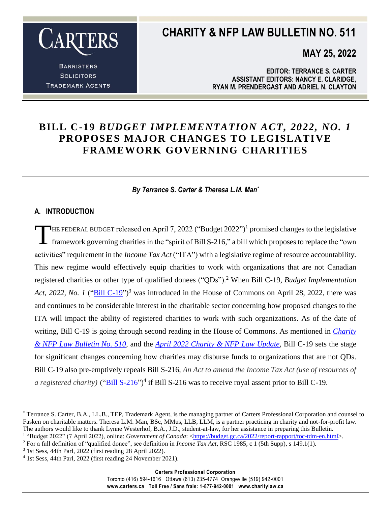

**BARRISTERS SOLICITORS TRADEMARK AGENTS** 

### **CHARITY & NFP LAW BULLETIN NO. 511**

**MAY 25, 2022**

**EDITOR: TERRANCE S. CARTER ASSISTANT EDITORS: NANCY E. CLARIDGE, RYAN M. PRENDERGAST AND ADRIEL N. CLAYTON**

### **BILL C-19** *BUDGET IMPLEMENTATION ACT, 2022, NO. 1* **PROPOSES MAJOR CHANGES TO LEGISLATIVE FRAMEWORK GOVERNING CHARITIES**

#### *By Terrance S. Carter & Theresa L.M. Man\**

#### **A. INTRODUCTION**

HE FEDERAL BUDGET released on April 7, 2022 ("Budget  $2022"$ )<sup>1</sup> promised changes to the legislative framework governing charities in the "spirit of Bill S-216," a bill which proposes to replace the "own activities" requirement in the *Income Tax Act* ("ITA") with a legislative regime of resource accountability. This new regime would effectively equip charities to work with organizations that are not Canadian registered charities or other type of qualified donees ("QDs"). <sup>2</sup> When Bill C-19, *Budget Implementation Act,* 2022, *No. 1* (["Bill C-19"](https://www.parl.ca/LegisInfo/en/bill/44-1/C-19))<sup>3</sup> was introduced in the House of Commons on April 28, 2022, there was and continues to be considerable interest in the charitable sector concerning how proposed changes to the ITA will impact the ability of registered charities to work with such organizations. As of the date of writing, Bill C-19 is going through second reading in the House of Commons. As mentioned in *[Charity](https://www.carters.ca/pub/bulletin/charity/2022/chylb510.pdf)  [& NFP Law Bulletin No. 510](https://www.carters.ca/pub/bulletin/charity/2022/chylb510.pdf)*, and the *[April 2022 Charity & NFP Law Update](https://www.carters.ca/index.php?page_id=481)*, Bill C-19 sets the stage for significant changes concerning how charities may disburse funds to organizations that are not QDs. Bill C-19 also pre-emptively repeals Bill S-216, *An Act to amend the Income Tax Act (use of resources of a registered charity*) ("*Bill S-216*")<sup>4</sup> if Bill S-216 was to receive royal assent prior to Bill C-19. T

Toronto (416) 594-1616 Ottawa (613) 235-4774 Orangeville (519) 942-0001 **www.carters.ca Toll Free / Sans frais: 1-877-942-0001 www.charitylaw.ca**

 $\overline{a}$ \* Terrance S. Carter, B.A., LL.B., TEP, Trademark Agent, is the managing partner of Carters Professional Corporation and counsel to Fasken on charitable matters. Theresa L.M. Man, BSc, MMus, LLB, LLM, is a partner practicing in charity and not-for-profit law. The authors would like to thank Lynne Westerhof, B.A., J.D., student-at-law, for her assistance in preparing this Bulletin.

<sup>&</sup>lt;sup>1</sup> "Budget 2022" (7 April 2022), online: *Government of Canada*: <**https://budget.gc.ca/2022/report-rapport/toc-tdm-en.html>.** 

<sup>2</sup> For a full definition of "qualified donee", see definition in *Income Tax Act*, RSC 1985, c 1 (5th Supp), s 149.1(1).

<sup>3</sup> 1st Sess, 44th Parl, 2022 (first reading 28 April 2022).

<sup>4</sup> 1st Sess, 44th Parl, 2022 (first reading 24 November 2021).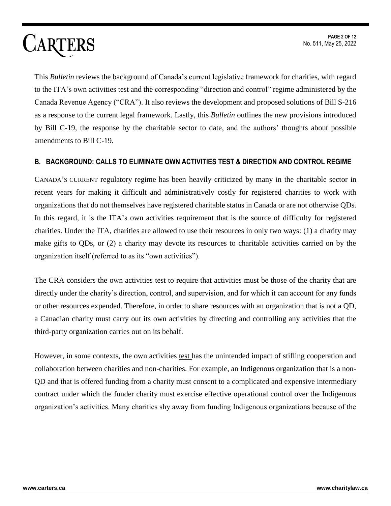This *Bulletin* reviews the background of Canada's current legislative framework for charities, with regard to the ITA's own activities test and the corresponding "direction and control" regime administered by the Canada Revenue Agency ("CRA"). It also reviews the development and proposed solutions of Bill S-216 as a response to the current legal framework. Lastly, this *Bulletin* outlines the new provisions introduced by Bill C-19, the response by the charitable sector to date, and the authors' thoughts about possible amendments to Bill C-19.

#### **B. BACKGROUND: CALLS TO ELIMINATE OWN ACTIVITIES TEST & DIRECTION AND CONTROL REGIME**

CANADA'S CURRENT regulatory regime has been heavily criticized by many in the charitable sector in recent years for making it difficult and administratively costly for registered charities to work with organizations that do not themselves have registered charitable status in Canada or are not otherwise QDs. In this regard, it is the ITA's own activities requirement that is the source of difficulty for registered charities. Under the ITA, charities are allowed to use their resources in only two ways: (1) a charity may make gifts to QDs, or (2) a charity may devote its resources to charitable activities carried on by the organization itself (referred to as its "own activities").

The CRA considers the own activities test to require that activities must be those of the charity that are directly under the charity's direction, control, and supervision, and for which it can account for any funds or other resources expended. Therefore, in order to share resources with an organization that is not a QD, a Canadian charity must carry out its own activities by directing and controlling any activities that the third-party organization carries out on its behalf.

However, in some contexts, the own activities test has the unintended impact of stifling cooperation and collaboration between charities and non-charities. For example, an Indigenous organization that is a non-QD and that is offered funding from a charity must consent to a complicated and expensive intermediary contract under which the funder charity must exercise effective operational control over the Indigenous organization's activities. Many charities shy away from funding Indigenous organizations because of the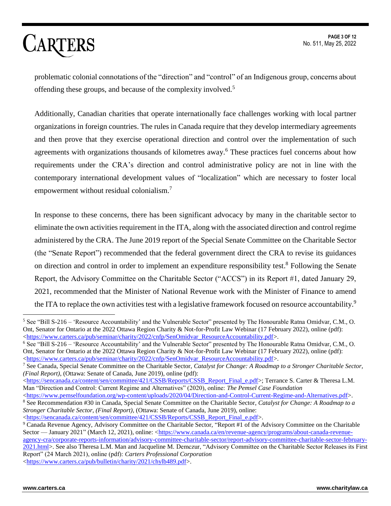**PAGE 3 OF 12** No. 511, May 25, 2022

## **CARTERS**

problematic colonial connotations of the "direction" and "control" of an Indigenous group, concerns about offending these groups, and because of the complexity involved.<sup>5</sup>

Additionally, Canadian charities that operate internationally face challenges working with local partner organizations in foreign countries. The rules in Canada require that they develop intermediary agreements and then prove that they exercise operational direction and control over the implementation of such agreements with organizations thousands of kilometres away.<sup>6</sup> These practices fuel concerns about how requirements under the CRA's direction and control administrative policy are not in line with the contemporary international development values of "localization" which are necessary to foster local empowerment without residual colonialism.<sup>7</sup>

In response to these concerns, there has been significant advocacy by many in the charitable sector to eliminate the own activities requirement in the ITA, along with the associated direction and control regime administered by the CRA. The June 2019 report of the Special Senate Committee on the Charitable Sector (the "Senate Report") recommended that the federal government direct the CRA to revise its guidances on direction and control in order to implement an expenditure responsibility test.<sup>8</sup> Following the Senate Report, the Advisory Committee on the Charitable Sector ("ACCS") in its Report #1, dated January 29, 2021, recommended that the Minister of National Revenue work with the Minister of Finance to amend the ITA to replace the own activities test with a legislative framework focused on resource accountability.<sup>9</sup>

 $<sup>5</sup>$  See "Bill S-216 – 'Resource Accountability' and the Vulnerable Sector" presented by The Honourable Ratna Omidvar, C.M., O.</sup> Ont, Senator for Ontario at the 2022 Ottawa Region Charity & Not-for-Profit Law Webinar (17 February 2022), online (pdf): [<https://www.carters.ca/pub/seminar/charity/2022/cnfp/SenOmidvar\\_ResourceAccountability.pdf>](https://www.carters.ca/pub/seminar/charity/2022/cnfp/SenOmidvar_ResourceAccountability.pdf).

<sup>6</sup> See "Bill S-216 – 'Resource Accountability' and the Vulnerable Sector" presented by The Honourable Ratna Omidvar, C.M., O. Ont, Senator for Ontario at the 2022 Ottawa Region Charity & Not-for-Profit Law Webinar (17 February 2022), online (pdf): [<https://www.carters.ca/pub/seminar/charity/2022/cnfp/SenOmidvar\\_ResourceAccountability.pdf>](https://www.carters.ca/pub/seminar/charity/2022/cnfp/SenOmidvar_ResourceAccountability.pdf).

<sup>7</sup> See Canada, Special Senate Committee on the Charitable Sector, *Catalyst for Change: A Roadmap to a Stronger Charitable Sector, (Final Report)*, (Ottawa: Senate of Canada, June 2019), online (pdf):

[<sup>&</sup>lt;https://sencanada.ca/content/sen/committee/421/CSSB/Reports/CSSB\\_Report\\_Final\\_e.pdf>](https://sencanada.ca/content/sen/committee/421/CSSB/Reports/CSSB_Report_Final_e.pdf); Terrance S. Carter & Theresa L.M. Man "Direction and Control: Current Regime and Alternatives" (2020), online: *The Pemsel Case Foundation*

[<sup>&</sup>lt;https://www.pemselfoundation.org/wp-content/uploads/2020/04/Direction-and-Control-Current-Regime-and-Alternatives.pdf>](https://www.pemselfoundation.org/wp-content/uploads/2020/04/Direction-and-Control-Current-Regime-and-Alternatives.pdf). <sup>8</sup> See Recommendation #30 in Canada, Special Senate Committee on the Charitable Sector, *Catalyst for Change: A Roadmap to a Stronger Charitable Sector, (Final Report)*, (Ottawa: Senate of Canada, June 2019), online:

[<sup>&</sup>lt;https://sencanada.ca/content/sen/committee/421/CSSB/Reports/CSSB\\_Report\\_Final\\_e.pdf>](https://sencanada.ca/content/sen/committee/421/CSSB/Reports/CSSB_Report_Final_e.pdf).

<sup>&</sup>lt;sup>9</sup> Canada Revenue Agency, Advisory Committee on the Charitable Sector, "Report #1 of the Advisory Committee on the Charitable Sector — January 2021" (March 12, 2021), online: [<https://www.canada.ca/en/revenue-agency/programs/about-canada-revenue](https://www.canada.ca/en/revenue-agency/programs/about-canada-revenue-agency-cra/corporate-reports-information/advisory-committee-charitable-sector/report-advisory-committee-charitable-sector-february-2021.html)[agency-cra/corporate-reports-information/advisory-committee-charitable-sector/report-advisory-committee-charitable-sector-february-](https://www.canada.ca/en/revenue-agency/programs/about-canada-revenue-agency-cra/corporate-reports-information/advisory-committee-charitable-sector/report-advisory-committee-charitable-sector-february-2021.html)[2021.html>](https://www.canada.ca/en/revenue-agency/programs/about-canada-revenue-agency-cra/corporate-reports-information/advisory-committee-charitable-sector/report-advisory-committee-charitable-sector-february-2021.html). See also Theresa L.M. Man and Jacqueline M. Demczur, "Advisory Committee on the Charitable Sector Releases its First Report" (24 March 2021), online (pdf): *Carters Professional Corporation* [<https://www.carters.ca/pub/bulletin/charity/2021/chylb489.pdf>](https://www.carters.ca/pub/bulletin/charity/2021/chylb489.pdf).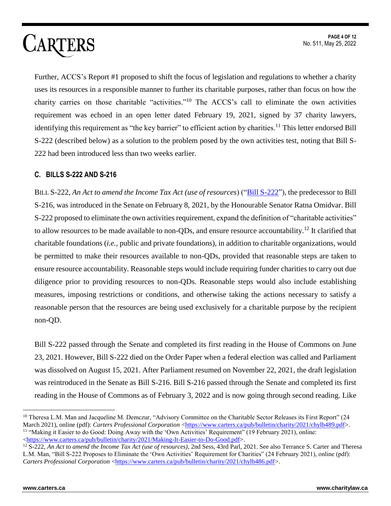Further, ACCS's Report #1 proposed to shift the focus of legislation and regulations to whether a charity uses its resources in a responsible manner to further its charitable purposes, rather than focus on how the charity carries on those charitable "activities."<sup>10</sup> The ACCS's call to eliminate the own activities requirement was echoed in an open letter dated February 19, 2021, signed by 37 charity lawyers, identifying this requirement as "the key barrier" to efficient action by charities.<sup>11</sup> This letter endorsed Bill S-222 (described below) as a solution to the problem posed by the own activities test, noting that Bill S-222 had been introduced less than two weeks earlier.

#### **C. BILLS S-222 AND S-216**

BILL S-222, *An Act to amend the Income Tax Act (use of resources*) (["Bill S-222"](https://www.parl.ca/LegisInfo/en/bill/43-2/s-222)), the predecessor to Bill S-216, was introduced in the Senate on February 8, 2021, by the Honourable Senator Ratna Omidvar. Bill S-222 proposed to eliminate the own activities requirement, expand the definition of "charitable activities" to allow resources to be made available to non-QDs, and ensure resource accountability.<sup>12</sup> It clarified that charitable foundations (*i.e.,* public and private foundations), in addition to charitable organizations, would be permitted to make their resources available to non-QDs, provided that reasonable steps are taken to ensure resource accountability. Reasonable steps would include requiring funder charities to carry out due diligence prior to providing resources to non-QDs. Reasonable steps would also include establishing measures, imposing restrictions or conditions, and otherwise taking the actions necessary to satisfy a reasonable person that the resources are being used exclusively for a charitable purpose by the recipient non-QD.

Bill S-222 passed through the Senate and completed its first reading in the House of Commons on June 23, 2021. However, Bill S-222 died on the Order Paper when a federal election was called and Parliament was dissolved on August 15, 2021. After Parliament resumed on November 22, 2021, the draft legislation was reintroduced in the Senate as Bill S-216. Bill S-216 passed through the Senate and completed its first reading in the House of Commons as of February 3, 2022 and is now going through second reading. Like

 $10$  Theresa L.M. Man and Jacqueline M. Demczur, "Advisory Committee on the Charitable Sector Releases its First Report" (24 March 2021), online (pdf): *Carters Professional Corporation* [<https://www.carters.ca/pub/bulletin/charity/2021/chylb489.pdf>](https://www.carters.ca/pub/bulletin/charity/2021/chylb489.pdf). <sup>11</sup> "Making it Easier to do Good: Doing Away with the 'Own Activities' Requirement" (19 February 2021), online: [<https://www.carters.ca/pub/bulletin/charity/2021/Making-It-Easier-to-Do-Good.pdf>](https://www.carters.ca/pub/bulletin/charity/2021/Making-It-Easier-to-Do-Good.pdf).

<sup>&</sup>lt;sup>12</sup> S-222, An Act to amend the Income Tax Act (use of resources), 2nd Sess, 43rd Parl, 2021. See also Terrance S. Carter and Theresa L.M. Man, "Bill S-222 Proposes to Eliminate the 'Own Activities' Requirement for Charities" (24 February 2021), online (pdf): *Carters Professional Corporation* [<https://www.carters.ca/pub/bulletin/charity/2021/chylb486.pdf>](https://www.carters.ca/pub/bulletin/charity/2021/chylb486.pdf).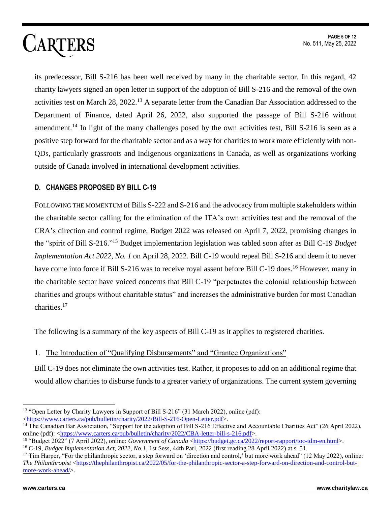its predecessor, Bill S-216 has been well received by many in the charitable sector. In this regard, 42 charity lawyers signed an open letter in support of the adoption of Bill S-216 and the removal of the own activities test on March 28, 2022.<sup>13</sup> A separate letter from the Canadian Bar Association addressed to the Department of Finance, dated April 26, 2022, also supported the passage of Bill S-216 without amendment.<sup>14</sup> In light of the many challenges posed by the own activities test, Bill S-216 is seen as a positive step forward for the charitable sector and as a way for charities to work more efficiently with non-QDs, particularly grassroots and Indigenous organizations in Canada, as well as organizations working outside of Canada involved in international development activities.

### **D. CHANGES PROPOSED BY BILL C-19**

FOLLOWING THE MOMENTUM of Bills S-222 and S-216 and the advocacy from multiple stakeholders within the charitable sector calling for the elimination of the ITA's own activities test and the removal of the CRA's direction and control regime, Budget 2022 was released on April 7, 2022, promising changes in the "spirit of Bill S-216." <sup>15</sup> Budget implementation legislation was tabled soon after as Bill C-19 *Budget Implementation Act 2022, No. 1* on April 28, 2022. Bill C-19 would repeal Bill S-216 and deem it to never have come into force if Bill S-216 was to receive royal assent before Bill C-19 does.<sup>16</sup> However, many in the charitable sector have voiced concerns that Bill C-19 "perpetuates the colonial relationship between charities and groups without charitable status" and increases the administrative burden for most Canadian charities.<sup>17</sup>

The following is a summary of the key aspects of Bill C-19 as it applies to registered charities.

#### 1. The Introduction of "Qualifying Disbursements" and "Grantee Organizations"

Bill C-19 does not eliminate the own activities test. Rather, it proposes to add on an additional regime that would allow charities to disburse funds to a greater variety of organizations. The current system governing

 $\overline{a}$ <sup>13</sup> "Open Letter by Charity Lawyers in Support of Bill S-216" (31 March 2022), online (pdf): [<https://www.carters.ca/pub/bulletin/charity/2022/Bill-S-216-Open-Letter.pdf>](https://www.carters.ca/pub/bulletin/charity/2022/Bill-S-216-Open-Letter.pdf).

<sup>&</sup>lt;sup>14</sup> The Canadian Bar Association, "Support for the adoption of Bill S-216 Effective and Accountable Charities Act" (26 April 2022), online (pdf): [<https://www.carters.ca/pub/bulletin/charity/2022/CBA-letter-bill-s-216.pdf>](https://www.carters.ca/pub/bulletin/charity/2022/CBA-letter-bill-s-216.pdf).

<sup>&</sup>lt;sup>15</sup> "Budget 2022" (7 April 2022), online: *Government of Canada* [<https://budget.gc.ca/2022/report-rapport/toc-tdm-en.html>](https://budget.gc.ca/2022/report-rapport/toc-tdm-en.html).

<sup>16</sup> C-19, *Budget Implementation Act, 2022, No.1*, 1st Sess, 44th Parl, 2022 (first reading 28 April 2022) at s. 51.

<sup>&</sup>lt;sup>17</sup> Tim Harper, "For the philanthropic sector, a step forward on 'direction and control,' but more work ahead" (12 May 2022), online: *The Philanthropist* [<https://thephilanthropist.ca/2022/05/for-the-philanthropic-sector-a-step-forward-on-direction-and-control-but](https://thephilanthropist.ca/2022/05/for-the-philanthropic-sector-a-step-forward-on-direction-and-control-but-more-work-ahead/)[more-work-ahead/>](https://thephilanthropist.ca/2022/05/for-the-philanthropic-sector-a-step-forward-on-direction-and-control-but-more-work-ahead/).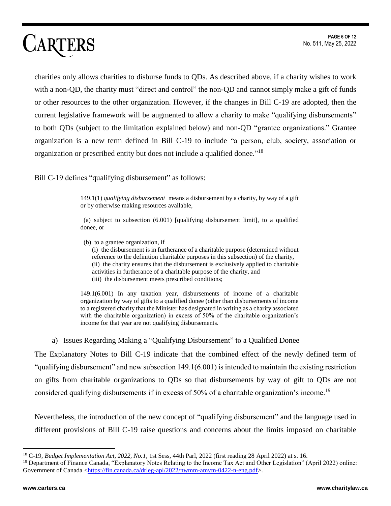charities only allows charities to disburse funds to QDs. As described above, if a charity wishes to work with a non-QD, the charity must "direct and control" the non-QD and cannot simply make a gift of funds or other resources to the other organization. However, if the changes in Bill C-19 are adopted, then the current legislative framework will be augmented to allow a charity to make "qualifying disbursements" to both QDs (subject to the limitation explained below) and non-QD "grantee organizations." Grantee organization is a new term defined in Bill C-19 to include "a person, club, society, association or organization or prescribed entity but does not include a qualified donee."<sup>18</sup>

Bill C-19 defines "qualifying disbursement" as follows:

149.1(1) *qualifying disbursement* means a disbursement by a charity, by way of a gift or by otherwise making resources available,

 (a) subject to subsection (6.001) [qualifying disbursement limit], to a qualified donee, or

 (b) to a grantee organization, if (i) the disbursement is in furtherance of a charitable purpose (determined without reference to the definition charitable purposes in this subsection) of the charity, (ii) the charity ensures that the disbursement is exclusively applied to charitable activities in furtherance of a charitable purpose of the charity, and

(iii) the disbursement meets prescribed conditions;

149.1(6.001) In any taxation year, disbursements of income of a charitable organization by way of gifts to a qualified donee (other than disbursements of income to a registered charity that the Minister has designated in writing as a charity associated with the charitable organization) in excess of 50% of the charitable organization's income for that year are not qualifying disbursements.

a) Issues Regarding Making a "Qualifying Disbursement" to a Qualified Donee

The Explanatory Notes to Bill C-19 indicate that the combined effect of the newly defined term of "qualifying disbursement" and new subsection 149.1(6.001) is intended to maintain the existing restriction on gifts from charitable organizations to QDs so that disbursements by way of gift to QDs are not considered qualifying disbursements if in excess of 50% of a charitable organization's income.<sup>19</sup>

Nevertheless, the introduction of the new concept of "qualifying disbursement" and the language used in different provisions of Bill C-19 raise questions and concerns about the limits imposed on charitable

<sup>18</sup> C-19, *Budget Implementation Act, 2022, No.1*, 1st Sess, 44th Parl, 2022 (first reading 28 April 2022) at s. 16.

<sup>19</sup> Department of Finance Canada, "Explanatory Notes Relating to the Income Tax Act and Other Legislation" (April 2022) online: Government of Canada [<https://fin.canada.ca/drleg-apl/2022/nwmm-amvm-0422-n-eng.pdf>](https://fin.canada.ca/drleg-apl/2022/nwmm-amvm-0422-n-eng.pdf).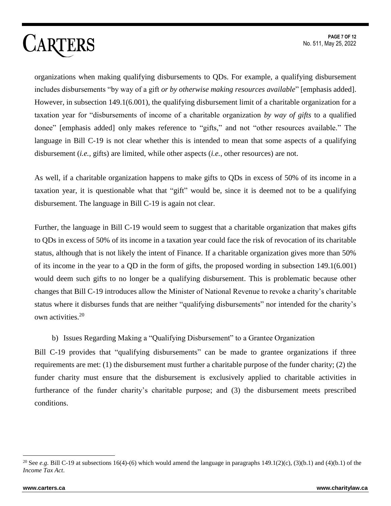organizations when making qualifying disbursements to QDs. For example, a qualifying disbursement includes disbursements "by way of a gift *or by otherwise making resources available*" [emphasis added]. However, in subsection 149.1(6.001), the qualifying disbursement limit of a charitable organization for a taxation year for "disbursements of income of a charitable organization *by way of gifts* to a qualified donee" [emphasis added] only makes reference to "gifts," and not "other resources available." The language in Bill C-19 is not clear whether this is intended to mean that some aspects of a qualifying disbursement (*i.e.,* gifts) are limited, while other aspects (*i.e.,* other resources) are not.

As well, if a charitable organization happens to make gifts to QDs in excess of 50% of its income in a taxation year, it is questionable what that "gift" would be, since it is deemed not to be a qualifying disbursement. The language in Bill C-19 is again not clear.

Further, the language in Bill C-19 would seem to suggest that a charitable organization that makes gifts to QDs in excess of 50% of its income in a taxation year could face the risk of revocation of its charitable status, although that is not likely the intent of Finance. If a charitable organization gives more than 50% of its income in the year to a QD in the form of gifts, the proposed wording in subsection 149.1(6.001) would deem such gifts to no longer be a qualifying disbursement. This is problematic because other changes that Bill C-19 introduces allow the Minister of National Revenue to revoke a charity's charitable status where it disburses funds that are neither "qualifying disbursements" nor intended for the charity's own activities.<sup>20</sup>

b) Issues Regarding Making a "Qualifying Disbursement" to a Grantee Organization

Bill C-19 provides that "qualifying disbursements" can be made to grantee organizations if three requirements are met: (1) the disbursement must further a charitable purpose of the funder charity; (2) the funder charity must ensure that the disbursement is exclusively applied to charitable activities in furtherance of the funder charity's charitable purpose; and (3) the disbursement meets prescribed conditions.

<sup>&</sup>lt;sup>20</sup> See *e.g.* Bill C-19 at subsections 16(4)-(6) which would amend the language in paragraphs 149.1(2)(c), (3)(b.1) and (4)(b.1) of the *Income Tax Act*.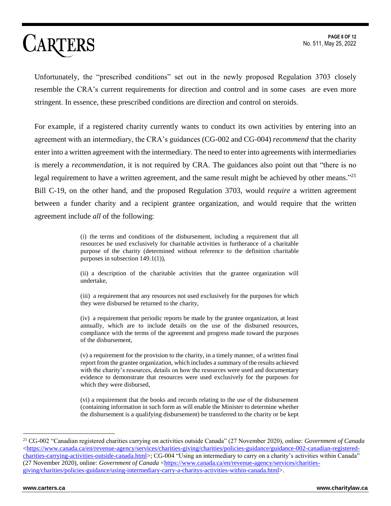Unfortunately, the "prescribed conditions" set out in the newly proposed Regulation 3703 closely resemble the CRA's current requirements for direction and control and in some cases are even more stringent. In essence, these prescribed conditions are direction and control on steroids.

For example, if a registered charity currently wants to conduct its own activities by entering into an agreement with an intermediary, the CRA's guidances (CG-002 and CG-004) *recommend* that the charity enter into a written agreement with the intermediary. The need to enter into agreements with intermediaries is merely a *recommendation*, it is not required by CRA. The guidances also point out that "there is no legal requirement to have a written agreement, and the same result might be achieved by other means."<sup>21</sup> Bill C-19, on the other hand, and the proposed Regulation 3703, would *require* a written agreement between a funder charity and a recipient grantee organization, and would require that the written agreement include *all* of the following:

> (i) the terms and conditions of the disbursement, including a requirement that all resources be used exclusively for charitable activities in furtherance of a charitable purpose of the charity (determined without reference to the definition charitable purposes in subsection 149.1(1)),

> (ii) a description of the charitable activities that the grantee organization will undertake,

> (iii) a requirement that any resources not used exclusively for the purposes for which they were disbursed be returned to the charity,

> (iv) a requirement that periodic reports be made by the grantee organization, at least annually, which are to include details on the use of the disbursed resources, compliance with the terms of the agreement and progress made toward the purposes of the disbursement,

> (v) a requirement for the provision to the charity, in a timely manner, of a written final report from the grantee organization, which includes a summary of the results achieved with the charity's resources, details on how the resources were used and documentary evidence to demonstrate that resources were used exclusively for the purposes for which they were disbursed,

> (vi) a requirement that the books and records relating to the use of the disbursement (containing information in such form as will enable the Minister to determine whether the disbursement is a qualifying disbursement) be transferred to the charity or be kept

<sup>21</sup> CG-002 "Canadian registered charities carrying on activities outside Canada" (27 November 2020), online: *Government of Canada*  $\langle$ https://www.canada.ca/en/revenue-agency/services/charities-giving/charities/policies-guidance/guidance-002-canadian-registered[charities-carrying-activities-outside-canada.html>](https://www.canada.ca/en/revenue-agency/services/charities-giving/charities/policies-guidance/guidance-002-canadian-registered-charities-carrying-activities-outside-canada.html); CG-004 "Using an intermediary to carry on a charity's activities within Canada" (27 November 2020), online: *Government of Canada* [<https://www.canada.ca/en/revenue-agency/services/charities](https://www.canada.ca/en/revenue-agency/services/charities-giving/charities/policies-guidance/using-intermediary-carry-a-charitys-activities-within-canada.html)[giving/charities/policies-guidance/using-intermediary-carry-a-charitys-activities-within-canada.html>](https://www.canada.ca/en/revenue-agency/services/charities-giving/charities/policies-guidance/using-intermediary-carry-a-charitys-activities-within-canada.html).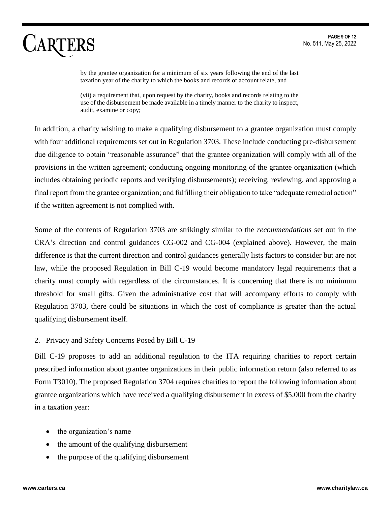by the grantee organization for a minimum of six years following the end of the last taxation year of the charity to which the books and records of account relate, and

(vii) a requirement that, upon request by the charity, books and records relating to the use of the disbursement be made available in a timely manner to the charity to inspect, audit, examine or copy;

In addition, a charity wishing to make a qualifying disbursement to a grantee organization must comply with four additional requirements set out in Regulation 3703. These include conducting pre-disbursement due diligence to obtain "reasonable assurance" that the grantee organization will comply with all of the provisions in the written agreement; conducting ongoing monitoring of the grantee organization (which includes obtaining periodic reports and verifying disbursements); receiving, reviewing, and approving a final report from the grantee organization; and fulfilling their obligation to take "adequate remedial action" if the written agreement is not complied with.

Some of the contents of Regulation 3703 are strikingly similar to the *recommendations* set out in the CRA's direction and control guidances CG-002 and CG-004 (explained above). However, the main difference is that the current direction and control guidances generally lists factors to consider but are not law, while the proposed Regulation in Bill C-19 would become mandatory legal requirements that a charity must comply with regardless of the circumstances. It is concerning that there is no minimum threshold for small gifts. Given the administrative cost that will accompany efforts to comply with Regulation 3703, there could be situations in which the cost of compliance is greater than the actual qualifying disbursement itself.

#### 2. Privacy and Safety Concerns Posed by Bill C-19

Bill C-19 proposes to add an additional regulation to the ITA requiring charities to report certain prescribed information about grantee organizations in their public information return (also referred to as Form T3010). The proposed Regulation 3704 requires charities to report the following information about grantee organizations which have received a qualifying disbursement in excess of \$5,000 from the charity in a taxation year:

- the organization's name
- the amount of the qualifying disbursement
- the purpose of the qualifying disbursement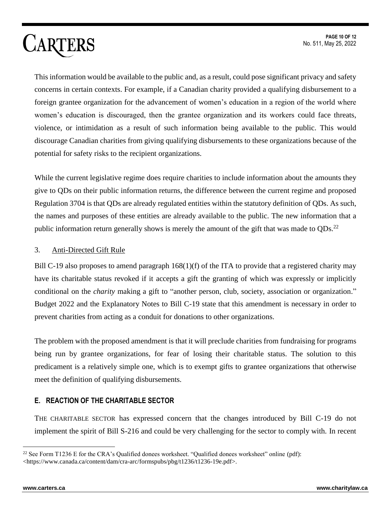This information would be available to the public and, as a result, could pose significant privacy and safety concerns in certain contexts. For example, if a Canadian charity provided a qualifying disbursement to a foreign grantee organization for the advancement of women's education in a region of the world where women's education is discouraged, then the grantee organization and its workers could face threats, violence, or intimidation as a result of such information being available to the public. This would discourage Canadian charities from giving qualifying disbursements to these organizations because of the potential for safety risks to the recipient organizations.

While the current legislative regime does require charities to include information about the amounts they give to QDs on their public information returns, the difference between the current regime and proposed Regulation 3704 is that QDs are already regulated entities within the statutory definition of QDs. As such, the names and purposes of these entities are already available to the public. The new information that a public information return generally shows is merely the amount of the gift that was made to  $QDs$ .<sup>22</sup>

#### 3. Anti-Directed Gift Rule

Bill C-19 also proposes to amend paragraph  $168(1)(f)$  of the ITA to provide that a registered charity may have its charitable status revoked if it accepts a gift the granting of which was expressly or implicitly conditional on the *charity* making a gift to "another person, club, society, association or organization." Budget 2022 and the Explanatory Notes to Bill C-19 state that this amendment is necessary in order to prevent charities from acting as a conduit for donations to other organizations.

The problem with the proposed amendment is that it will preclude charities from fundraising for programs being run by grantee organizations, for fear of losing their charitable status. The solution to this predicament is a relatively simple one, which is to exempt gifts to grantee organizations that otherwise meet the definition of qualifying disbursements.

#### **E. REACTION OF THE CHARITABLE SECTOR**

THE CHARITABLE SECTOR has expressed concern that the changes introduced by Bill C-19 do not implement the spirit of Bill S-216 and could be very challenging for the sector to comply with. In recent

<sup>&</sup>lt;sup>22</sup> See Form T1236 E for the CRA's Qualified donees worksheet. "Qualified donees worksheet" online (pdf): <https://www.canada.ca/content/dam/cra-arc/formspubs/pbg/t1236/t1236-19e.pdf>.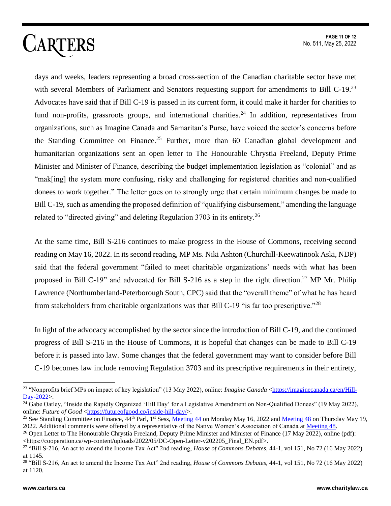days and weeks, leaders representing a broad cross-section of the Canadian charitable sector have met with several Members of Parliament and Senators requesting support for amendments to Bill C-19.<sup>23</sup> Advocates have said that if Bill C-19 is passed in its current form, it could make it harder for charities to fund non-profits, grassroots groups, and international charities.<sup>24</sup> In addition, representatives from organizations, such as Imagine Canada and Samaritan's Purse, have voiced the sector's concerns before the Standing Committee on Finance.<sup>25</sup> Further, more than 60 Canadian global development and humanitarian organizations sent an open letter to The Honourable Chrystia Freeland, Deputy Prime Minister and Minister of Finance, describing the budget implementation legislation as "colonial" and as "mak[ing] the system more confusing, risky and challenging for registered charities and non-qualified donees to work together." The letter goes on to strongly urge that certain minimum changes be made to Bill C-19, such as amending the proposed definition of "qualifying disbursement," amending the language related to "directed giving" and deleting Regulation  $3703$  in its entirety.<sup>26</sup>

At the same time, Bill S-216 continues to make progress in the House of Commons, receiving second reading on May 16, 2022. In its second reading, MP Ms. Niki Ashton (Churchill-Keewatinook Aski, NDP) said that the federal government "failed to meet charitable organizations' needs with what has been proposed in Bill C-19" and advocated for Bill S-216 as a step in the right direction.<sup>27</sup> MP Mr. Philip Lawrence (Northumberland-Peterborough South, CPC) said that the "overall theme" of what he has heard from stakeholders from charitable organizations was that Bill C-19 "is far too prescriptive."<sup>28</sup>

In light of the advocacy accomplished by the sector since the introduction of Bill C-19, and the continued progress of Bill S-216 in the House of Commons, it is hopeful that changes can be made to Bill C-19 before it is passed into law. Some changes that the federal government may want to consider before Bill C-19 becomes law include removing Regulation 3703 and its prescriptive requirements in their entirety,

<sup>23</sup> "Nonprofits brief MPs on impact of key legislation" (13 May 2022), online: *Imagine Canada* [<https://imaginecanada.ca/en/Hill-](https://imaginecanada.ca/en/Hill-Day-2022)[Day-2022>](https://imaginecanada.ca/en/Hill-Day-2022).

 $\frac{24}{4}$  Gabe Oatley, "Inside the Rapidly Organized 'Hill Day' for a Legislative Amendment on Non-Qualified Donees" (19 May 2022), online: *Future of Good* [<https://futureofgood.co/inside-hill-day/>](https://futureofgood.co/inside-hill-day/).

<sup>&</sup>lt;sup>25</sup> See Standing Committee on Finance,  $\frac{44 \text{th}}{4}$  Parl, 1<sup>st</sup> Sess, [Meeting 44](https://www.ourcommons.ca/DocumentViewer/en/44-1/FINA/meeting-44/minutes) on Monday May 16, 2022 and [Meeting 48](https://www.ourcommons.ca/DocumentViewer/en/44-1/FINA/meeting-48/minutes) on Thursday May 19, 2022. Additional comments were offered by a representative of the Native Women's Association of Canada at [Meeting 48.](https://www.ourcommons.ca/DocumentViewer/en/44-1/FINA/meeting-48/minutes)

<sup>&</sup>lt;sup>26</sup> Open Letter to The Honourable Chrystia Freeland, Deputy Prime Minister and Minister of Finance (17 May 2022), online (pdf): <https://cooperation.ca/wp-content/uploads/2022/05/DC-Open-Letter-v202205\_Final\_EN.pdf>.

<sup>27</sup> "Bill S-216, An act to amend the Income Tax Act" 2nd reading, *House of Commons Debates*, 44-1, vol 151, No 72 (16 May 2022) at 1145.

<sup>28</sup> "Bill S-216, An act to amend the Income Tax Act" 2nd reading, *House of Commons Debates*, 44-1, vol 151, No 72 (16 May 2022) at 1120.